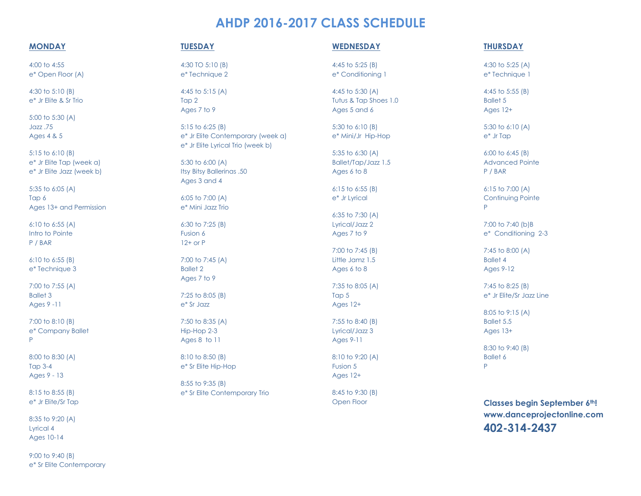# **AHDP 2016-2017 CLASS SCHEDULE**

# **MONDAY**

4:00 to 4:55 e\* Open Floor (A)

4:30 to 5:10 (B) e\* Jr Elite & Sr Trio

5:00 to 5:30 (A) Jazz .75 Ages 4 & 5

5:15 to 6:10 (B) e\* Jr Elite Tap (week a) e\* Jr Elite Jazz (week b)

5:35 to 6:05 (A) Tap 6 Ages 13+ and Permission

6:10 to 6:55 (A) Intro to Pointe P / BAR

6:10 to 6:55 (B) e\* Technique 3

7:00 to 7:55 (A) Ballet 3 Ages 9 -11

7:00 to 8:10 (B) e\* Company Ballet P

8:00 to 8:30 (A) Tap 3-4 Ages 9 - 13

8:15 to 8:55 (B) e\* Jr Elite/Sr Tap

8:35 to 9:20 (A) Lyrical 4 Ages 10-14

9:00 to 9:40 (B) e\* Sr Elite Contemporary

# **TUESDAY**

4:30 TO 5:10 (B) e\* Technique 2

4:45 to 5:15 (A) Tap 2 Ages 7 to 9

5:15 to 6:25 (B) e\* Jr Elite Contemporary (week a) e\* Jr Elite Lyrical Trio (week b)

5:30 to 6:00 (A) Itsy Bitsy Ballerinas .50 Ages 3 and 4

6:05 to 7:00 (A) e\* Mini Jazz Trio

6:30 to 7:25 (B) Fusion 6 12+ or P

7:00 to 7:45 (A) Ballet 2 Ages 7 to 9

7:25 to 8:05 (B) e\* Sr Jazz

7:50 to 8:35 (A) Hip-Hop 2-3 Ages 8 to 11

8:10 to 8:50 (B) e\* Sr Elite Hip-Hop

8:55 to 9:35 (B) e\* Sr Elite Contemporary Trio

## **WEDNESDAY**

4:45 to 5:25 (B) e\* Conditioning 1

4:45 to 5:30 (A) Tutus & Tap Shoes 1.0 Ages 5 and 6

5:30 to 6:10 (B) e\* Mini/Jr Hip-Hop

5:35 to 6:30 (A) Ballet/Tap/Jazz 1.5 Ages 6 to 8

6:15 to 6:55 (B) e\* Jr Lyrical

6:35 to 7:30 (A) Lyrical/Jazz 2 Ages 7 to 9

7:00 to 7:45 (B) Little Jamz 1.5 Ages 6 to 8

7:35 to 8:05 (A) Tap 5 Ages 12+

7:55 to 8:40 (B) Lyrical/Jazz 3 Ages 9-11

8:10 to 9:20 (A) Fusion 5 Ages 12+

8:45 to 9:30 (B) Open Floor

# **THURSDAY**

4:30 to 5:25 (A) e\* Technique 1

4:45 to 5:55 (B) Ballet 5 Ages 12+

5:30 to 6:10 (A) e\* Jr Tap

6:00 to 6:45 (B) Advanced Pointe P / BAR

6:15 to 7:00 (A) **Continuing Pointe** P

7:00 to 7:40 (b)B e\* Conditioning 2-3

7:45 to 8:00 (A) Ballet 4 Ages 9-12

7:45 to 8:25 (B) e\* Jr Elite/Sr Jazz Line

8:05 to 9:15 (A) Ballet 5.5 Ages 13+

8:30 to 9:40 (B) Ballet 6 P

**Classes begin September 6th! www.danceprojectonline.com 402-314-2437**